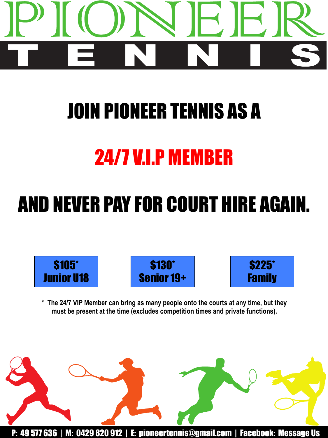

# JOIN PIONEER TENNIS AS A

### 24/7 V.I.P MEMBER

# AND NEVER PAY FOR COURT HIRE AGAIN.



**\* The 24/7 VIP Member can bring as many people onto the courts at any time, but they must be present at the time (excludes competition times and private functions).** 



P: 49 577 636 | M: 0429 820 912 | E: pioneertennis@gmail.com | Facebook: Message Us